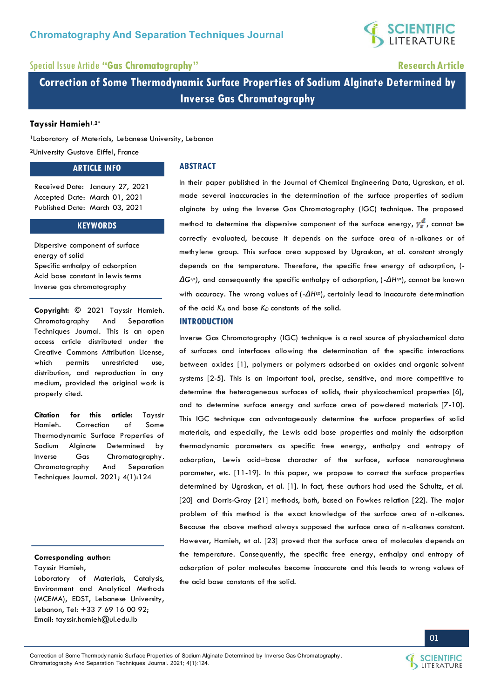

## Special Issue Article **"Gas Chromatography" Research Article**

**Correction of Some Thermodynamic Surface Properties of Sodium Alginate Determined by Inverse Gas Chromatography** 

### **Tayssir Hamieh1,2\***

<sup>1</sup>Laboratory of Materials, Lebanese University, Lebanon

<sup>2</sup>University Gustave Eiffel, France

### **ARTICLE INFO**

#### **ABSTRACT**

Received Date: Janaury 27, 2021 Accepted Date: March 01, 2021 Published Date: March 03, 2021

#### **KEYWORDS**

Dispersive component of surface energy of solid Specific enthalpy of adsorption Acid base constant in lewis terms Inverse gas chromatography

**Copyright:** © 2021 Tayssir Hamieh. Chromatography And Separation Techniques Journal. This is an open access article distributed under the Creative Commons Attribution License, which permits unrestricted use, distribution, and reproduction in any medium, provided the original work is properly cited.

**Citation for this article:** Tayssir Hamieh. Correction of Some Thermodynamic Surface Properties of Sodium Alginate Determined by Inverse Gas Chromatography. Chromatography And Separation Techniques Journal. 2021; 4(1):124

#### **Corresponding author:**

Tayssir Hamieh,

Laboratory of Materials, Catalysis, Environment and Analytical Methods (MCEMA), EDST, Lebanese University, Lebanon, Tel: +33 7 69 16 00 92; Email: [tayssir.hamieh@ul.edu.lb](mailto:tayssir.hamieh@ul.edu.lb) 

In their paper published in the Journal of Chemical Engineering Data, Ugraskan, et al. made several inaccuracies in the determination of the surface properties of sodium alginate by using the Inverse Gas Chromatography (IGC) technique. The proposed method to determine the dispersive component of the surface energy,  $y_s^d$ , cannot be correctly evaluated, because it depends on the surface area of n-alkanes or of methylene group. This surface area supposed by Ugraskan, et al. constant strongly depends on the temperature. Therefore, the specific free energy of adsorption, (- *ΔGsp)*, and consequently the specific enthalpy of adsorption, (-*ΔHsp*), cannot be known with accuracy. The wrong values of (- $\Delta H$ <sup>*sp*</sup>), certainly lead to inaccurate determination of the acid *KA* and base *KD* constants of the solid.

## **INTRODUCTION**

Inverse Gas Chromatography (IGC) technique is a real source of physiochemical data of surfaces and interfaces allowing the determination of the specific interactions between oxides [1], polymers or polymers adsorbed on oxides and organic solvent systems [2-5]. This is an important tool, precise, sensitive, and more competitive to determine the heterogeneous surfaces of solids, their physicochemical properties [6], and to determine surface energy and surface area of powdered materials [7-10]. This IGC technique can advantageously determine the surface properties of solid materials, and especially, the Lewis acid base properties and mainly the adsorption thermodynamic parameters as specific free energy, enthalpy and entropy of adsorption, Lewis acid–base character of the surface, surface nanoroughness parameter, etc. [11-19]. In this paper, we propose to correct the surface properties determined by Ugraskan, et al. [1]. In fact, these authors had used the Schultz, et al. [20] and Dorris-Gray [21] methods, both, based on Fowkes relation [22]. The major problem of this method is the exact knowledge of the surface area of n-alkanes. Because the above method always supposed the surface area of n-alkanes constant. However, Hamieh, et al. [23] proved that the surface area of molecules depends on the temperature. Consequently, the specific free energy, enthalpy and entropy of adsorption of polar molecules become inaccurate and this leads to wrong values of the acid base constants of the solid.



01

Correction of Some Thermody namic Surf ace Properties of Sodium Alginate Determined by Inv erse Gas Chromatography . Chromatography And Separation Techniques Journal. 2021; 4(1):124.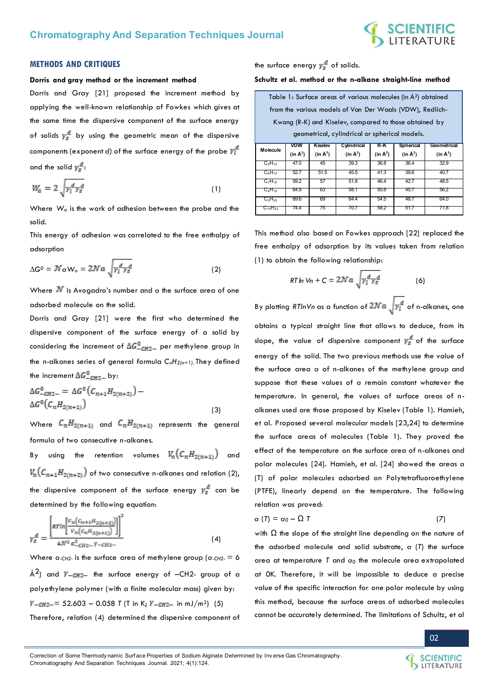

#### **METHODS AND CRITIQUES**

#### **Dorris and gray method or the increment method**

Dorris and Gray [21] proposed the increment method by applying the well-known relationship of Fowkes which gives at the same time the dispersive component of the surface energy of solids  $y_s^d$  by using the geometric mean of the dispersive components (exponent *d*) of the surface energy of the probe  $\gamma_1^d$ and the solid  $y_s^d$ :

$$
W_a = 2\sqrt{\gamma_i^d \gamma_s^d} \tag{1}
$$

Where *W<sup>a</sup>* is the work of adhesion between the probe and the solid.

This energy of adhesion was correlated to the free enthalpy of adsorption

$$
\Delta G^0 = \mathcal{N}_{\alpha} W_{\alpha} = 2\mathcal{N}a \sqrt{\gamma_i^d \gamma_s^d}
$$
 (2)

Where  $\mathcal N$  is Avogadro's number and  $\alpha$  the surface area of one adsorbed molecule on the solid.

Dorris and Gray [21] were the first who determined the dispersive component of the surface energy of a solid by considering the increment of  $\Delta G_{\text{CH2-}}^0$  per methylene group in the n-alkanes series of general formula *CnH2(n+1).* They defined the increment  $\Delta G_{\text{CH2}-}^0$  by:

$$
\Delta G_{CH2-}^{0} = \Delta G^{0} (C_{n+1} H_{2(n+2)}) - \Delta G^{0} (C_{n} H_{2(n+1)})
$$
\n(3)

Where  $C_nH_{2(n+1)}$  and  $C_nH_{2(n+1)}$  represents the general formula of two consecutive n-alkanes.

By using the retention volumes  $V_n(C_nH_{2(n+1)})$  and  $V_n(C_{n+1}H_{2(n+2)})$  of two consecutive n-alkanes and relation (2), the dispersive component of the surface energy  $\gamma_{s}^{d}$  can be determined by the following equation:

$$
\gamma_s^d = \frac{\left[ \pi r \ln \left[ \frac{V_n (C_{n+1} H_{2(n+2)})}{V_n (C_n H_{2(n+1)})} \right] \right]^2}{4N^2 a_{-CH2}^2 - Y - CH2} \tag{4}
$$

Where  $a$ -CH2- is the surface area of methylene group ( $a$ -CH2- = 6 Å<sup>2</sup>) and  $\gamma$ -cH2- the surface energy of -CH2- group of a polyethylene polymer (with a finite molecular mass) given by:  $Y_{-CH2}$  = 52.603 – 0.058 *T* (T in K;  $Y_{-CH2}$  in mJ/m<sup>2</sup>) (5) Therefore, relation (4) determined the dispersive component of

the surface energy  $\gamma_s^d$  of solids.

**Schultz et al. method or the n-alkane straight-line method** 

| Table 1: Surface areas of various molecules (in A <sup>2</sup> ) obtained |                                                        |                      |                      |                      |                      |                      |  |
|---------------------------------------------------------------------------|--------------------------------------------------------|----------------------|----------------------|----------------------|----------------------|----------------------|--|
| from the various models of Van Der Waals (VDW), Redlich-                  |                                                        |                      |                      |                      |                      |                      |  |
|                                                                           | Kwong (R-K) and Kiselev, compared to those obtained by |                      |                      |                      |                      |                      |  |
| geometrical, cylindrical or spherical models.                             |                                                        |                      |                      |                      |                      |                      |  |
|                                                                           | <b>VDW</b>                                             | <b>Kiselev</b>       | Cylindrical          | R K                  | <b>Spherical</b>     | Geometrical          |  |
| Molecule                                                                  |                                                        |                      |                      |                      |                      |                      |  |
|                                                                           | (in $\mathbb{A}^2$ )                                   | (in $\mathbb{A}^2$ ) | (in $\mathbb{A}^2$ ) | (in $\mathbb{A}^2$ ) | (in $\mathbb{A}^2$ ) | (in $\mathbb{A}^2$ ) |  |
| $C_5H_{12}$                                                               | 47.0                                                   | 45                   | 39.3                 | 36.8                 | 36.4                 | 32.9                 |  |
| $C_6H_{14}$                                                               | 52.7                                                   | 51.5                 | 45.5                 | 41.3                 | 39.6                 | 40.7                 |  |
| $C_7H_{16}$                                                               | 59.2                                                   | 57                   | 51.8                 | 46.4                 | 42.7                 | 48.5                 |  |
| $C_8H_{18}$                                                               | 64.9                                                   | 63                   | 58.1                 | 50.8                 | 45.7                 | 56.2                 |  |
| $C_9H_{20}$<br>$C_{10}H_{22}$                                             | 69.6<br>74.4                                           | 69<br>75             | 64.4<br>70.7         | 54.5<br>58.2         | 48.7<br>51.7         | 64.0<br>71.8         |  |

This method also based on Fowkes approach [22] replaced the free enthalpy of adsorption by its values taken from relation (1) to obtain the following relationship:

$$
RT \ln V_n + C = 2 \mathcal{N} a \sqrt{\gamma_i^d \gamma_s^d} \tag{6}
$$

By plotting *RTlnVn* as a function of  $2Na$ <sub>1</sub> $\gamma_1^d$  of n-alkanes, one obtains a typical straight line that allows to deduce, from its slope, the value of dispersive component  $y_s^d$  of the surface energy of the solid. The two previous methods use the value of the surface area *a* of n-alkanes of the methylene group and suppose that these values of *a* remain constant whatever the temperature. In general, the values of surface areas of nalkanes used are those proposed by Kiselev (Table 1). Hamieh, et al. Proposed several molecular models [23,24] to determine the surface areas of molecules (Table 1). They proved the effect of the temperature on the surface area of n-alkanes and polar molecules [24]. Hamieh, et al. [24] showed the areas *a*  (T) of polar molecules adsorbed on Polytetrafluoroethylene (PTFE), linearly depend on the temperature. The following relation was proved:

$$
\alpha(T) = \alpha_0 - \Omega T \tag{7}
$$

with  $\Omega$  the slope of the straight line depending on the nature of the adsorbed molecule and solid substrate, *a* (*T*) the surface area at temperature *T* and *a0* the molecule area extrapolated at 0K. Therefore, it will be impossible to deduce a precise value of the specific interaction for one polar molecule by using this method, because the surface areas of adsorbed molecules cannot be accurately determined. The limitations of Schultz, et al

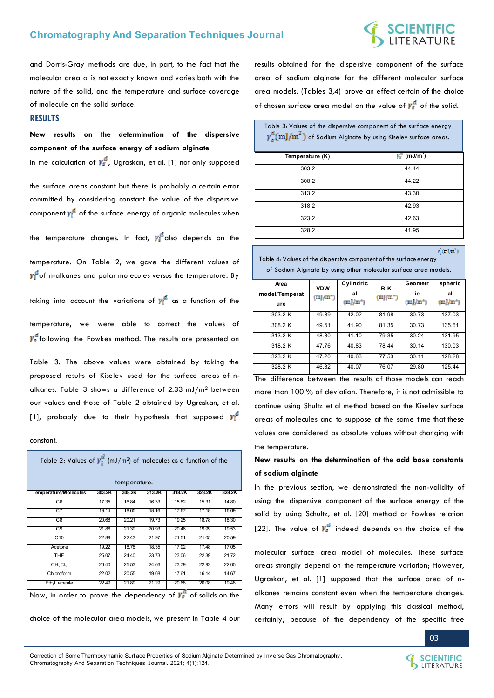## **SCIENTIFIC**<br>LITERATURE

and Dorris-Gray methods are due, in part, to the fact that the molecular area *a* is not exactly known and varies both with the nature of the solid, and the temperature and surface coverage of molecule on the solid surface.

#### **RESULTS**

**New results on the determination of the dispersive component of the surface energy of sodium alginate** 

In the calculation of  $y_s^d$ , Ugraskan, et al. [1] not only supposed

the surface areas constant but there is probably a certain error committed by considering constant the value of the dispersive component  $y_i^d$  of the surface energy of organic molecules when

the temperature changes. In fact,  $\gamma_1^d$  also depends on the

temperature. On Table 2, we gave the different values of  $y_i^a$  of n-alkanes and polar molecules versus the temperature. By

taking into account the variations of  $\gamma_l^d$  as a function of the

temperature, we were able to correct the values of  $\gamma_s^d$  following the Fowkes method. The results are presented on

Table 3. The above values were obtained by taking the proposed results of Kiselev used for the surface areas of nalkanes. Table 3 shows a difference of 2.33 mJ/m2 between our values and those of Table 2 obtained by Ugraskan, et al. [1], probably due to their hypothesis that supposed  $y_i^d$ 

constant.

| Table 2: Values of $\gamma_1^d$ (mJ/m <sup>2</sup> ) of molecules as a function of the<br>temperature. |        |        |        |        |        |        |  |
|--------------------------------------------------------------------------------------------------------|--------|--------|--------|--------|--------|--------|--|
| <b>Temperature/Molecules</b>                                                                           | 303.2K | 308.2K | 313.2K | 318.2K | 323.2K | 328.2K |  |
| C6                                                                                                     | 17.35  | 16.84  | 16.33  | 15.82  | 15.31  | 14.80  |  |
| C7                                                                                                     | 19.14  | 18.65  | 18.16  | 17.67  | 17.18  | 16.69  |  |
| C8                                                                                                     | 20.68  | 20.21  | 19.73  | 19.25  | 18.78  | 18.30  |  |
| C9                                                                                                     | 21.86  | 21.39  | 20.93  | 20.46  | 19.99  | 19.53  |  |
| C10                                                                                                    | 22.89  | 22.43  | 21.97  | 21.51  | 21.05  | 20.59  |  |
| Acetone                                                                                                | 19.22  | 18.78  | 18.35  | 17.92  | 17.48  | 17.05  |  |
| ҇҇҇҇҇҇                                                                                                 | 25.07  | 24.40  | 23.73  | 23.06  | 22.39  | 21.72  |  |
| CH <sub>2</sub> Cl <sub>2</sub>                                                                        | 26.40  | 25.53  | 24.66  | 23.79  | 22.92  | 22.05  |  |
| Chlorotorm                                                                                             | 22.02  | 20.55  | 19.08  | 17.61  | 16.14  | 14.67  |  |
| Ethyl acetate                                                                                          | 22.49  | 21.89  | 21.29  | 20.68  | 20.08  | 19.48  |  |

Now, in order to prove the dependency of  $\gamma_s^a$  of solids on the

choice of the molecular area models, we present in Table 4 our

results obtained for the dispersive component of the surface area of sodium alginate for the different molecular surface area models. (Tables 3,4) prove an effect certain of the choice of chosen surface area model on the value of  $y_s^d$  of the solid.

Table 3: Values of the dispersive component of the surface energy  $\gamma_s^d(\mathrm{mJ/m}^2)$  of Sodium Alginate by using Kiselev surface areas.

| Temperature (K) | $y_s^u$ (mJ/m <sup>2</sup> ) |
|-----------------|------------------------------|
| 303.2           | 44.44                        |
| 308.2           | 44.22                        |
| 313.2           | 43.30                        |
| 318.2           | 42.93                        |
| 323.2           | 42.63                        |
| 328.2           | 41.95                        |

 $\gamma_s^d(\text{mJ/m}^2)$ 

Table 4: Values of the dispersive component of the surface energy of Sodium Alginate by using other molecular surface area models.

| Area<br>model/Temperat | <b>VDW</b><br>$(m)/m^2$ | Cylindric<br>al | R-K<br>$(m)/m^2$ | Geometr<br>ic | spheric<br>al |
|------------------------|-------------------------|-----------------|------------------|---------------|---------------|
| ure                    |                         | $(m)/m^2$       |                  | $(m)/m^2$     | $(m)/m^2$     |
| 303.2 K                | 49.89                   | 42.02           | 81.98            | 30.73         | 137.03        |
| 308.2 K                | 49.51                   | 41.90           | 81.35            | 30.73         | 135.61        |
| 313.2 K                | 48.30                   | 41.10           | 79.35            | 30.24         | 131.95        |
| 318.2 K                | 47.76                   | 40.83           | 78.44            | 30.14         | 130.03        |
| 323.2 K                | 47.20                   | 40.63           | 77.53            | 30.11         | 128.28        |
| 328.2 K                | 46.32                   | 40.07           | 76.07            | 29.80         | 125.44        |

The difference between the results of those models can reach more than 100 % of deviation. Therefore, it is not admissible to continue using Shultz et al method based on the Kiselev surface areas of molecules and to suppose at the same time that these values are considered as absolute values without changing with the temperature.

## **New results on the determination of the acid base constants of sodium alginate**

In the previous section, we demonstrated the non-validity of using the dispersive component of the surface energy of the solid by using Schultz, et al. [20] method or Fowkes relation [22]. The value of  $\gamma_s^d$  indeed depends on the choice of the

molecular surface area model of molecules. These surface areas strongly depend on the temperature variation; However, Ugraskan, et al. [1] supposed that the surface area of nalkanes remains constant even when the temperature changes. Many errors will result by applying this classical method, certainly, because of the dependency of the specific free

03

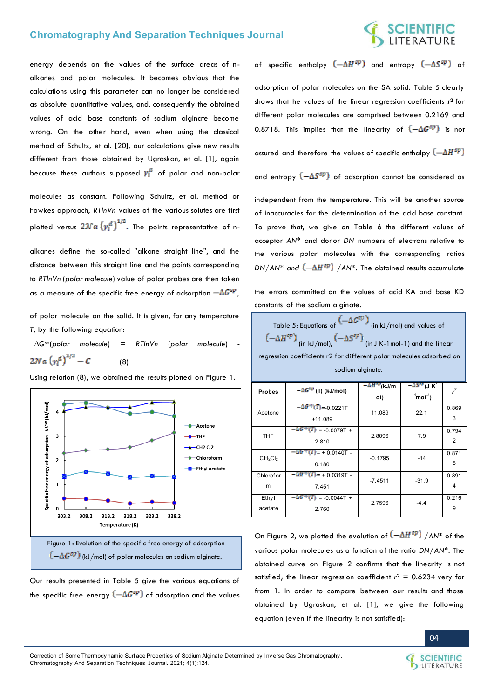## C**IENTIFIC**<br>TERATURE

energy depends on the values of the surface areas of nalkanes and polar molecules. It becomes obvious that the calculations using this parameter can no longer be considered as absolute quantitative values, and, consequently the obtained values of acid base constants of sodium alginate become wrong. On the other hand, even when using the classical method of Schultz, et al. [20], our calculations give new results different from those obtained by Ugraskan, et al. [1], again because these authors supposed  $y_l^d$  of polar and non-polar

molecules as constant. Following Schultz, et al. method or Fowkes approach, *RTlnVn* values of the various solutes are first plotted versus  $2\mathcal{N}a\left(\gamma_1^d\right)^{1/2}$ . The points representative of n-

alkanes define the so-called "alkane straight line", and the distance between this straight line and the points corresponding to *RTlnVn* (*polar molecule*) value of polar probes are then taken as a measure of the specific free energy of adsorption  $-\Delta G^{sp}$ ,

of polar molecule on the solid. It is given, for any temperature *T*, by the following equation:

*Gsp*(*polar molecule*) *= RTlnVn* (*polar molecule*) -  $2\mathcal{N}a\left(\gamma_t^d\right)^{1/2}-C$ (8)

Using relation (8), we obtained the results plotted on Figure 1.



Our results presented in Table 5 give the various equations of the specific free energy  $\left(-\Delta G^{sp}\right)$  of adsorption and the values of specific enthalpy  $(-\Delta H^{sp})$  and entropy  $(-\Delta S^{sp})$  of

adsorption of polar molecules on the SA solid. Table 5 clearly shows that he values of the linear regression coefficients *r* **<sup>2</sup>**for different polar molecules are comprised between 0.2169 and 0.8718. This implies that the linearity of  $(-\Delta G^{sp})$  is not

assured and therefore the values of specific enthalpy  $(-\Delta H^{sp})$ 

and entropy  $(-\Delta S^{sp})$  of adsorption cannot be considered as

independent from the temperature. This will be another source of inaccuracies for the determination of the acid base constant. To prove that, we give on Table 6 the different values of acceptor *AN\** and donor *DN* numbers of electrons relative to the various polar molecules with the corresponding ratios *DN/AN\** and  $(-\Delta H^{sp})$  /AN\*. The obtained results accumulate

the errors committed on the values of acid KA and base KD constants of the sodium alginate.

| Table 5: Equations of $(-\Delta G^{sp})$ (in kJ/mol) and values of                 |  |  |  |  |
|------------------------------------------------------------------------------------|--|--|--|--|
| $(-\Delta H^{sp})$ (in kJ/mol), $(-\Delta S^{sp})$ (in J K-1 mol-1) and the linear |  |  |  |  |
| regression coefficients r2 for different polar molecules adsorbed on               |  |  |  |  |
| sodium alginate.                                                                   |  |  |  |  |

| <b>Probes</b>                   | $-\Delta G^{sp}$ (T) (kJ/mol)            | $-M^{NP}$ (kJ/m | –∆S*"(J K⊺                  | r <sup>2</sup> |  |
|---------------------------------|------------------------------------------|-----------------|-----------------------------|----------------|--|
|                                 |                                          | ol)             | $1^{\circ}$ mol $1^{\circ}$ |                |  |
| Acetone                         | $-\Delta G^{op}(T) = 0.0221T$            | 11.089          | 22.1                        | 0.869          |  |
|                                 | $+11.089$                                |                 |                             | 3              |  |
| THF.                            | –∆G‴<br>$(T) = -0.0079T +$               | 2.8096          | 7.9                         | 0.794          |  |
|                                 | 2.810                                    |                 |                             | $\overline{2}$ |  |
| CH <sub>2</sub> Cl <sub>2</sub> | $-\Delta G^{op}(T)$ = + 0.0140T -        | $-0.1795$       | $-14$                       | 0.871          |  |
|                                 | 0.180                                    |                 |                             | 8              |  |
| Chlorof or                      | $-\Delta G^{\gamma\mu}(T)$ = + 0.0319T - | $-7.4511$       | $-31.9$                     | 0.891          |  |
| m                               | 7.451                                    |                 |                             | 4              |  |
| Ethyl                           | –∆ር ምርጉ<br>$= -0.0044T +$                | 2.7596          | $-4.4$                      | 0.216          |  |
| acetate                         | 2.760                                    |                 |                             | 9              |  |

On Figure 2, we plotted the evolution of  $(-\Delta H^{sp})$  /AN\* of the various polar molecules as a function of the ratio *DN/AN\**. The obtained curve on Figure 2 confirms that the linearity is not satisfied; the linear regression coefficient  $r^2 = 0.6234$  very far from 1. In order to compare between our results and those obtained by Ugraskan, et al. [1], we give the following equation (even if the linearity is not satisfied):



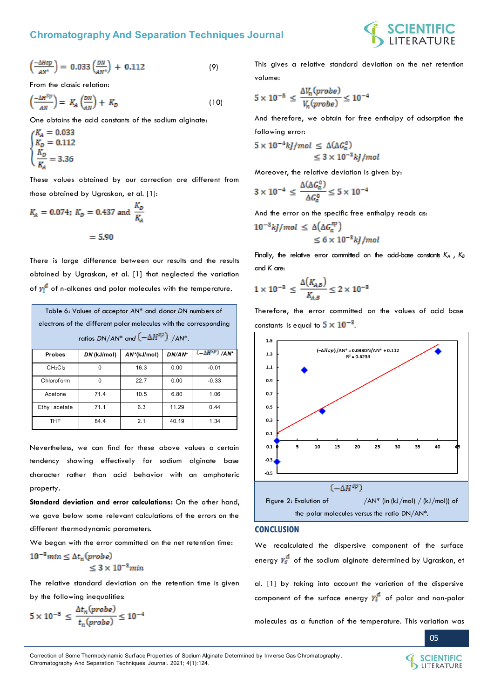

$$
\left(\frac{-\Delta Hsp}{AN^*}\right) = 0.033 \left(\frac{DN}{AN^*}\right) + 0.112
$$
 (9)

From the classic relation:

$$
\left(\frac{-\Delta H^{Sp}}{AN}\right) = K_A \left(\frac{DN}{AN}\right) + K_D \tag{10}
$$

One obtains the acid constants of the sodium alginate:

$$
\begin{cases} K_A = 0.033 \\ K_D = 0.112 \\ \frac{K_D}{K_A} = 3.36 \end{cases}
$$

These values obtained by our correction are different from those obtained by Ugraskan, et al. [1]:

$$
K_A = 0.074
$$
;  $K_D = 0.437$  and  $\frac{K_D}{K_A}$   
= 5.90

There is large difference between our results and the results obtained by Ugraskan, et al. [1] that neglected the variation of  $y_i^d$  of n-alkanes and polar molecules with the temperature.

| Table 6: Values of acceptor AN* and donor DN numbers of<br>electrons of the different polar molecules with the corresponding<br>ratios DN/AN* and $(-\Delta H^{sp})$ /AN*. |             |                |        |                         |  |  |
|----------------------------------------------------------------------------------------------------------------------------------------------------------------------------|-------------|----------------|--------|-------------------------|--|--|
| <b>Probes</b>                                                                                                                                                              | DN (kJ/mol) | $AN^*(kJ/mol)$ | DN/AN* | $(-\Delta H^{sp})/AN^*$ |  |  |
| CH <sub>2</sub> Cl <sub>2</sub>                                                                                                                                            | $\Omega$    | 16.3           | 0.00   | $-0.01$                 |  |  |
| Chlorof orm                                                                                                                                                                | $\Omega$    | 22.7           | 0.00   | $-0.33$                 |  |  |
| Acetone                                                                                                                                                                    | 71.4        | 10.5           | 6.80   | 1.06                    |  |  |
| Ethy I acetate                                                                                                                                                             | 71.1        | 6.3            | 11.29  | 0.44                    |  |  |
| THF                                                                                                                                                                        | 84.4        | 2.1            | 40.19  | 1.34                    |  |  |

Nevertheless, we can find for these above values a certain tendency showing effectively for sodium alginate base character rather than acid behavior with an amphoteric property.

**Standard deviation and error calculations:** On the other hand, we gave below some relevant calculations of the errors on the different thermodynamic parameters.

We began with the error committed on the net retention time:  $10^{-3}$ min  $\leq \Delta t_n$ (probe)  $\leq 3 \times 10^{-3}$  min

The relative standard deviation on the retention time is given by the following inequalities:

$$
5 \times 10^{-5} \le \frac{\Delta t_n (probe)}{t_n (probe)} \le 10^{-4}
$$

This gives a relative standard deviation on the net retention volume:

$$
5 \times 10^{-5} \le \frac{\Delta V_n (probe)}{V_n (probe)} \le 10^{-4}
$$

And therefore, we obtain for free enthalpy of adsorption the following error:

$$
5 \times 10^{-4} kJ/mol \leq \Delta(\Delta G_a^0)
$$
  

$$
\leq 3 \times 10^{-3} kJ/mol
$$

Moreover, the relative deviation is given by:

$$
3 \times 10^{-4} \leq \frac{\Delta(\Delta G_a^0)}{\Delta G_a^0} \leq 5 \times 10^{-4}
$$

And the error on the specific free enthalpy reads as:

$$
10^{-3} kJ/mol \leq \Delta(\Delta G_a^{sp})
$$
  

$$
\leq 6 \times 10^{-3} kJ/mol
$$

Finally, the relative error committed on the acid-base constants *K<sup>A</sup>* , *K<sup>B</sup>* and *K* are:

$$
1\times10^{-3} \leq \frac{\Delta(K_{A,B})}{K_{A,B}} \leq 2\times10^{-3}
$$

Therefore, the error committed on the values of acid base constants is equal to  $5 \times 10^{-3}$ .



#### **CONCLUSION**

We recalculated the dispersive component of the surface energy  $y_s^d$  of the sodium alginate determined by Ugraskan, et

al. [1] by taking into account the variation of the dispersive component of the surface energy  $y_1^d$  of polar and non-polar

molecules as a function of the temperature. This variation was



Correction of Some Thermody namic Surf ace Properties of Sodium Alginate Determined by Inv erse Gas Chromatography . Chromatography And Separation Techniques Journal. 2021; 4(1):124.

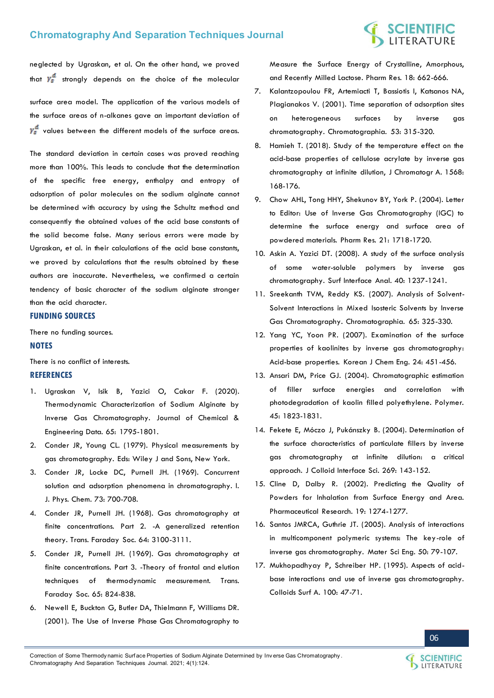# **SCIENTIFIC**<br>LITERATURE

neglected by Ugraskan, et al. On the other hand, we proved that  $y_s^d$  strongly depends on the choice of the molecular

surface area model. The application of the various models of the surface areas of n-alkanes gave an important deviation of  $v_s^a$  values between the different models of the surface areas.

The standard deviation in certain cases was proved reaching more than 100%. This leads to conclude that the determination of the specific free energy, enthalpy and entropy of adsorption of polar molecules on the sodium alginate cannot be determined with accuracy by using the Schultz method and consequently the obtained values of the acid base constants of the solid become false. Many serious errors were made by Ugraskan, et al. in their calculations of the acid base constants, we proved by calculations that the results obtained by these authors are inaccurate. Nevertheless, we confirmed a certain tendency of basic character of the sodium alginate stronger than the acid character.

#### **FUNDING SOURCES**

There no funding sources.

#### **NOTES**

There is no conflict of interests.

#### **REFERENCES**

- 1. [Ugraskan V, Isik B, Yazici O, Cakar F. \(2020\).](https://pubs.acs.org/doi/abs/10.1021/acs.jced.9b01074)  [Thermodynamic Characterization of Sodium Alginate by](https://pubs.acs.org/doi/abs/10.1021/acs.jced.9b01074)  [Inverse Gas Chromatography. Journal of Chemical &](https://pubs.acs.org/doi/abs/10.1021/acs.jced.9b01074)  [Engineering Data. 65: 1795-1801.](https://pubs.acs.org/doi/abs/10.1021/acs.jced.9b01074)
- 2. [Conder JR, Young CL. \(1979\). Physical measurements by](https://doi.org/10.1002/jhrc.1240030917)  [gas chromatography. Eds: Wiley J and Sons, New York.](https://doi.org/10.1002/jhrc.1240030917)
- 3. [Conder JR, Locke DC, Purnell JH. \(1969\). Concurrent](https://doi.org/10.1021/j100723a035)  [solution and adsorption phenomena in chromatography. I.](https://doi.org/10.1021/j100723a035)  [J. Phys. Chem. 73: 700-708.](https://doi.org/10.1021/j100723a035)
- 4. [Conder JR, Purnell JH. \(1968\). Gas chromatography at](https://doi.org/10.1039/TF9686403100)  [finite concentrations. Part 2. -A generalized retention](https://doi.org/10.1039/TF9686403100)  [theory. Trans. Faraday Soc. 64: 3100-3111.](https://doi.org/10.1039/TF9686403100)
- 5. [Conder JR, Purnell JH. \(1969\). Gas chromatography at](https://pubs.rsc.org/en/content/articlelanding/1969/TF/TF9696500824)  [finite concentrations. Part 3. -Theory of frontal and elution](https://pubs.rsc.org/en/content/articlelanding/1969/TF/TF9696500824)  [techniques of thermodynamic measurement. Trans.](https://pubs.rsc.org/en/content/articlelanding/1969/TF/TF9696500824)  [Faraday Soc. 65: 824-838.](https://pubs.rsc.org/en/content/articlelanding/1969/TF/TF9696500824)
- 6. [Newell E, Buckton G, Butler DA, Thielmann F, Williams DR.](https://doi.org/10.1023/a:1011089511959)  [\(2001\). The Use of Inverse Phase Gas Chromatography to](https://doi.org/10.1023/a:1011089511959)

[Measure the Surface Energy of Crystalline, Amorphous,](https://doi.org/10.1023/a:1011089511959) [and Recently Milled Lactose. Pharm Res. 18: 662-666.](https://doi.org/10.1023/a:1011089511959)

- 7. [Kalantzopoulou FR, Artemiacti T, Bassiotis I, Katsanos NA,](https://doi.org/10.1007/BF02490431)  [Plagianakos V. \(2001\). Time separation of adsorption sites](https://doi.org/10.1007/BF02490431)  [on heterogeneous surfaces by inverse gas](https://doi.org/10.1007/BF02490431)  [chromatography. Chromatographia. 53: 315-320.](https://doi.org/10.1007/BF02490431)
- 8. [Hamieh T. \(2018\). Study of the temperature effect on the](https://doi.org/10.1016/j.chroma.2018.07.025)  [acid-base properties of cellulose acrylate by inverse gas](https://doi.org/10.1016/j.chroma.2018.07.025)  [chromatography at infinite dilution, J Chromatogr A. 1568:](https://doi.org/10.1016/j.chroma.2018.07.025)  [168-176.](https://doi.org/10.1016/j.chroma.2018.07.025)
- 9. [Chow AHL, Tong HHY, Shekunov BY, York P. \(2004\). Letter](https://doi.org/10.1023/b:pham.0000041470.92345.e8)  [to Editor: Use of Inverse Gas Chromatography \(IGC\) to](https://doi.org/10.1023/b:pham.0000041470.92345.e8) [determine the surface energy and surface area of](https://doi.org/10.1023/b:pham.0000041470.92345.e8)  [powdered materials. Pharm Res. 21: 1718-1720.](https://doi.org/10.1023/b:pham.0000041470.92345.e8)
- 10. [Askin A. Yazici DT. \(2008\). A study of the surface analysis](https://doi.org/10.1002/sia.2869)  [of some water-soluble polymers by inverse gas](https://doi.org/10.1002/sia.2869)  [chromatography. Surf Interface Anal. 40: 1237-1241.](https://doi.org/10.1002/sia.2869)
- 11. [Sreekanth TVM, Reddy KS. \(2007\). Analysis of Solvent-](https://doi.org/10.1365/s10337-006-0149-7)[Solvent Interactions in Mixed Isosteric Solvents by Inverse](https://doi.org/10.1365/s10337-006-0149-7)  [Gas Chromatography. Chromatographia. 65: 325-330.](https://doi.org/10.1365/s10337-006-0149-7)
- 12. [Yang YC, Yoon PR. \(2007\). Examination of the surface](https://doi.org/10.1007/s11814-007-0078-7) [properties of kaolinites by inverse gas chromatography:](https://doi.org/10.1007/s11814-007-0078-7)  [Acid-base properties. Korean J Chem Eng. 24: 451-456.](https://doi.org/10.1007/s11814-007-0078-7)
- 13. [Ansari DM, Price GJ. \(2004\). Chromatographic estimation](https://doi.org/10.1016/j.polymer.2004.01.018)  [of filler surface energies and correlation with](https://doi.org/10.1016/j.polymer.2004.01.018)  [photodegradation of kaolin filled polyethylene. Polymer.](https://doi.org/10.1016/j.polymer.2004.01.018)  [45: 1823-1831.](https://doi.org/10.1016/j.polymer.2004.01.018)
- 14. [Fekete E, Móczo J, Pukánszky B. \(2004\). Determination of](https://doi.org/10.1016/S0021-9797(03)00719-7)  [the surface characteristics of particulate fillers by inverse](https://doi.org/10.1016/S0021-9797(03)00719-7)  [gas chromatography at infinite dilution: a critical](https://doi.org/10.1016/S0021-9797(03)00719-7)  [approach. J Colloid Interface Sci. 269: 143-152.](https://doi.org/10.1016/S0021-9797(03)00719-7)
- 15. [Cline D, Dalby R. \(2002\). Predicting the Quality of](https://doi.org/10.1023/A:1020338405947)  [Powders for Inhalation from Surface Energy and Area.](https://doi.org/10.1023/A:1020338405947) [Pharmaceutical Research. 19: 1274-1277.](https://doi.org/10.1023/A:1020338405947)
- 16. [Santos JMRCA, Guthrie JT. \(2005\). Analysis of interactions](https://doi.org/10.1016/j.mser.2005.07.003)  [in multicomponent polymeric systems: The key-role of](https://doi.org/10.1016/j.mser.2005.07.003)  [inverse gas chromatography. Mater Sci Eng. 50: 79-107.](https://doi.org/10.1016/j.mser.2005.07.003)
- 17. [Mukhopadhyay P, Schreiber HP. \(1995\). Aspects of acid](https://doi.org/10.1016/0927-7757(95)03137-3)[base interactions and use of inverse gas chromatography.](https://doi.org/10.1016/0927-7757(95)03137-3)  [Colloids Surf A. 100: 47-71.](https://doi.org/10.1016/0927-7757(95)03137-3)